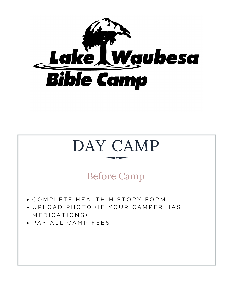

# DAY CAMP

Before Camp

- COMPLETE HEALTH HISTORY FORM
- UPLOAD PHOTO (IF YOUR CAMPER HAS M E D I C A T I O N S )
- PAY ALL CAMP FEES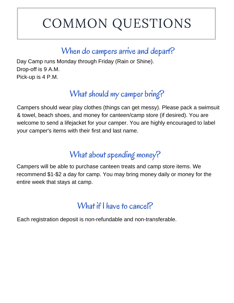# COMMON QUESTIONS

#### When do campers arrive and depart?

Day Camp runs Monday through Friday (Rain or Shine). Drop-off is 9 A.M. Pick-up is 4 P.M.

# What should my camper bring?

Campers should wear play clothes (things can get messy). Please pack a swimsuit & towel, beach shoes, and money for canteen/camp store (if desired). You are welcome to send a lifejacket for your camper. You are highly encouraged to label your camper's items with their first and last name.

# What about spending money?

Campers will be able to purchase canteen treats and camp store items. We recommend \$1-\$2 a day for camp. You may bring money daily or money for the entire week that stays at camp.

# What if I have to cancel?

Each registration deposit is non-refundable and non-transferable.